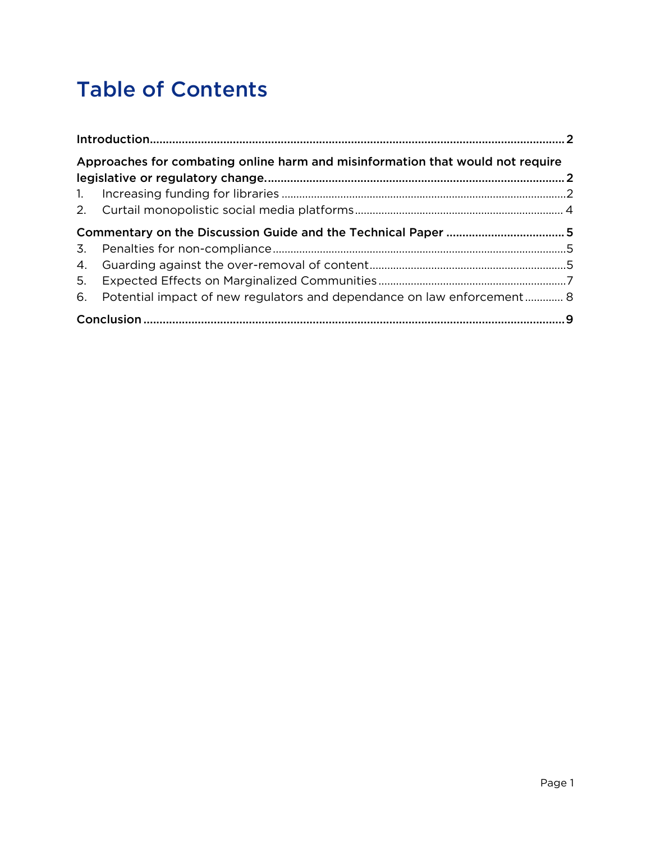# Table of Contents

| Approaches for combating online harm and misinformation that would not require |                                                                           |  |  |
|--------------------------------------------------------------------------------|---------------------------------------------------------------------------|--|--|
|                                                                                |                                                                           |  |  |
|                                                                                |                                                                           |  |  |
|                                                                                |                                                                           |  |  |
|                                                                                |                                                                           |  |  |
|                                                                                |                                                                           |  |  |
|                                                                                |                                                                           |  |  |
| 5.                                                                             |                                                                           |  |  |
|                                                                                | 6. Potential impact of new regulators and dependance on law enforcement 8 |  |  |
|                                                                                |                                                                           |  |  |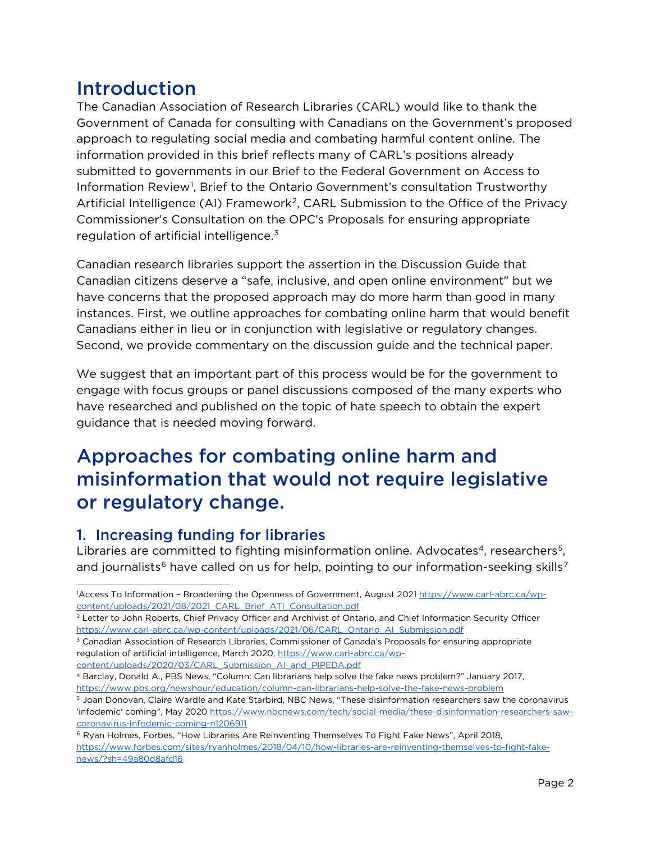### <span id="page-2-0"></span>Introduction

The Canadian Association of Research Libraries (CARL) would like to thank the Government of Canada for consulting with Canadians on the Government's proposed approach to regulating social media and combating harmful content online. The information provided in this brief reflects many of CARL's positions already submitted to governments in our Brief to the Federal Government on Access to Information Review<sup>[1](#page-2-3)</sup>, Brief to the Ontario Government's consultation Trustworthy Artificial Intelligence (AI) Framework<sup>[2](#page-2-4)</sup>, CARL Submission to the Office of the Privacy Commissioner's Consultation on the OPC's Proposals for ensuring appropriate regulation of artificial intelligence. $3$ 

Canadian research libraries support the assertion in the Discussion Guide that Canadian citizens deserve a "safe, inclusive, and open online environment" but we have concerns that the proposed approach may do more harm than good in many instances. First, we outline approaches for combating online harm that would benefit Canadians either in lieu or in conjunction with legislative or regulatory changes. Second, we provide commentary on the discussion guide and the technical paper.

We suggest that an important part of this process would be for the government to engage with focus groups or panel discussions composed of the many experts who have researched and published on the topic of hate speech to obtain the expert guidance that is needed moving forward.

### <span id="page-2-1"></span>Approaches for combating online harm and misinformation that would not require legislative or regulatory change.

#### <span id="page-2-2"></span>1. Increasing funding for libraries

<span id="page-2-9"></span>Libraries are committed to fighting misinformation online. Advocates<sup>4</sup>, researchers<sup>[5](#page-2-7)</sup>, and journalists<sup>[6](#page-2-8)</sup> have called on us for help, pointing to our information-seeking skills<sup>[7](#page-2-9)</sup>

- <span id="page-2-5"></span><sup>3</sup> Canadian Association of Research Libraries, Commissioner of Canada's Proposals for ensuring appropriate regulation of artificial intelligence, March 2020[, https://www.carl-abrc.ca/wp](https://www.carl-abrc.ca/wp-content/uploads/2020/03/CARL_Submission_AI_and_PIPEDA.pdf)[content/uploads/2020/03/CARL\\_Submission\\_AI\\_and\\_PIPEDA.pdf](https://www.carl-abrc.ca/wp-content/uploads/2020/03/CARL_Submission_AI_and_PIPEDA.pdf)
- <span id="page-2-6"></span><sup>4</sup> Barclay, Donald A., PBS News, "Column: Can librarians help solve the fake news problem?" January 2017, <https://www.pbs.org/newshour/education/column-can-librarians-help-solve-the-fake-news-problem>

<span id="page-2-3"></span><sup>1</sup> Access To Information – Broadening the Openness of Government, August 2021 [https://www.carl-abrc.ca/wp](https://www.carl-abrc.ca/wp-content/uploads/2021/08/2021_CARL_Brief_ATI_Consultation.pdf)[content/uploads/2021/08/2021\\_CARL\\_Brief\\_ATI\\_Consultation.pdf](https://www.carl-abrc.ca/wp-content/uploads/2021/08/2021_CARL_Brief_ATI_Consultation.pdf)

<span id="page-2-4"></span><sup>&</sup>lt;sup>2</sup> Letter to John Roberts, Chief Privacy Officer and Archivist of Ontario, and Chief Information Security Officer [https://www.carl-abrc.ca/wp-content/uploads/2021/06/CARL\\_Ontario\\_AI\\_Submission.pdf](https://www.carl-abrc.ca/wp-content/uploads/2021/06/CARL_Ontario_AI_Submission.pdf)

<span id="page-2-7"></span><sup>5</sup> Joan Donovan, Claire Wardle and Kate Starbird, NBC News, "These disinformation researchers saw the coronavirus 'infodemic' coming", May 202[0 https://www.nbcnews.com/tech/social-media/these-disinformation-researchers-saw](https://www.nbcnews.com/tech/social-media/these-disinformation-researchers-saw-coronavirus-infodemic-coming-n1206911)[coronavirus-infodemic-coming-n1206911](https://www.nbcnews.com/tech/social-media/these-disinformation-researchers-saw-coronavirus-infodemic-coming-n1206911)

<span id="page-2-8"></span><sup>6</sup> Ryan Holmes, Forbes, "How Libraries Are Reinventing Themselves To Fight Fake News", April 2018, [https://www.forbes.com/sites/ryanholmes/2018/04/10/how-libraries-are-reinventing-themselves-to-fight-fake](https://www.forbes.com/sites/ryanholmes/2018/04/10/how-libraries-are-reinventing-themselves-to-fight-fake-news/?sh=49a80d8afd16)[news/?sh=49a80d8afd16](https://www.forbes.com/sites/ryanholmes/2018/04/10/how-libraries-are-reinventing-themselves-to-fight-fake-news/?sh=49a80d8afd16)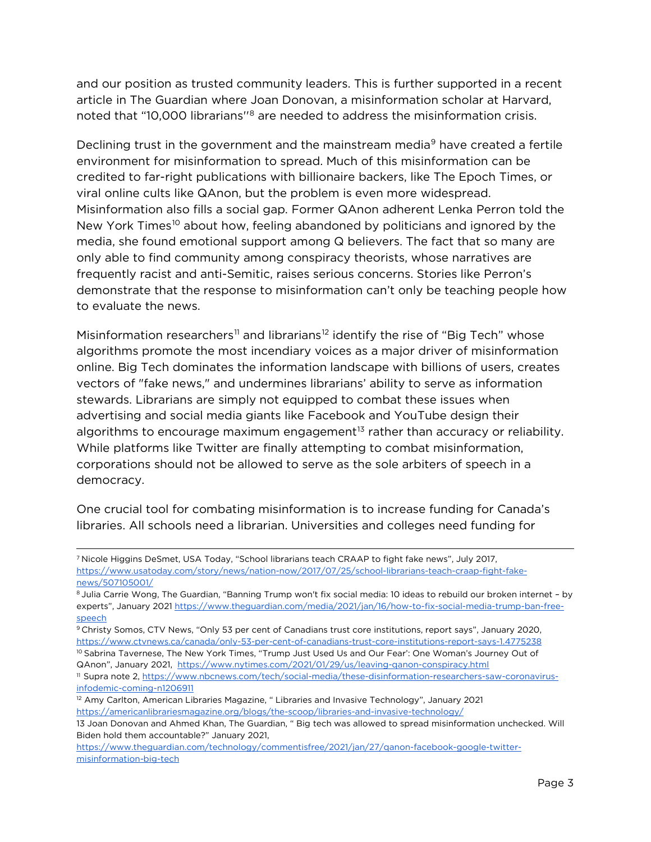and our position as trusted community leaders. This is further supported in a recent article in The Guardian where Joan Donovan, a misinformation scholar at Harvard, noted that "10,000 librarians''[8](#page-3-0) are needed to address the misinformation crisis.

Declining trust in the government and the mainstream media<sup>9</sup> have created a fertile environment for misinformation to spread. Much of this misinformation can be credited to far-right publications with billionaire backers, like The Epoch Times, or viral online cults like QAnon, but the problem is even more widespread. Misinformation also fills a social gap. Former QAnon adherent Lenka Perron told the New York Times<sup>[10](#page-3-2)</sup> about how, feeling abandoned by politicians and ignored by the media, she found emotional support among Q believers. The fact that so many are only able to find community among conspiracy theorists, whose narratives are frequently racist and anti-Semitic, raises serious concerns. Stories like Perron's demonstrate that the response to misinformation can't only be teaching people how to evaluate the news.

Misinformation researchers<sup>[11](#page-3-3)</sup> and librarians<sup>[12](#page-3-4)</sup> identify the rise of "Big Tech" whose algorithms promote the most incendiary voices as a major driver of misinformation online. Big Tech dominates the information landscape with billions of users, creates vectors of "fake news," and undermines librarians' ability to serve as information stewards. Librarians are simply not equipped to combat these issues when advertising and social media giants like Facebook and YouTube design their algorithms to encourage maximum engagement<sup>[13](#page-3-5)</sup> rather than accuracy or reliability. While platforms like Twitter are finally attempting to combat misinformation, corporations should not be allowed to serve as the sole arbiters of speech in a democracy.

One crucial tool for combating misinformation is to increase funding for Canada's libraries. All schools need a librarian. Universities and colleges need funding for

<span id="page-3-1"></span><sup>9</sup> Christy Somos, CTV News, "Only 53 per cent of Canadians trust core institutions, report says", January 2020, <https://www.ctvnews.ca/canada/only-53-per-cent-of-canadians-trust-core-institutions-report-says-1.4775238> 10 Sabrina Tavernese, The New York Times, "Trump Just Used Us and Our Fear': One Woman's Journey Out of

<span id="page-3-2"></span>QAnon", January 2021, <https://www.nytimes.com/2021/01/29/us/leaving-qanon-conspiracy.html>

<sup>7</sup> Nicole Higgins DeSmet, USA Today, "School librarians teach CRAAP to fight fake news", July 2017, [https://www.usatoday.com/story/news/nation-now/2017/07/25/school-librarians-teach-craap-fight-fake](https://www.usatoday.com/story/news/nation-now/2017/07/25/school-librarians-teach-craap-fight-fake-news/507105001/)[news/507105001/](https://www.usatoday.com/story/news/nation-now/2017/07/25/school-librarians-teach-craap-fight-fake-news/507105001/)

<span id="page-3-0"></span><sup>8</sup> Julia Carrie Wong, The Guardian, "Banning Trump won't fix social media: 10 ideas to rebuild our broken internet – by experts", January 2021 [https://www.theguardian.com/media/2021/jan/16/how-to-fix-social-media-trump-ban-free](https://www.theguardian.com/media/2021/jan/16/how-to-fix-social-media-trump-ban-free-speech)[speech](https://www.theguardian.com/media/2021/jan/16/how-to-fix-social-media-trump-ban-free-speech)

<span id="page-3-3"></span><sup>11</sup> Supra note 2, [https://www.nbcnews.com/tech/social-media/these-disinformation-researchers-saw-coronavirus](https://www.nbcnews.com/tech/social-media/these-disinformation-researchers-saw-coronavirus-infodemic-coming-n1206911)[infodemic-coming-n1206911](https://www.nbcnews.com/tech/social-media/these-disinformation-researchers-saw-coronavirus-infodemic-coming-n1206911)

<span id="page-3-4"></span><sup>&</sup>lt;sup>12</sup> Amy Carlton, American Libraries Magazine, " Libraries and Invasive Technology", January 2021 <https://americanlibrariesmagazine.org/blogs/the-scoop/libraries-and-invasive-technology/>

<span id="page-3-5"></span><sup>13</sup> Joan Donovan and Ahmed Khan, The Guardian, " Big tech was allowed to spread misinformation unchecked. Will Biden hold them accountable?" January 2021,

[https://www.theguardian.com/technology/commentisfree/2021/jan/27/qanon-facebook-google-twitter](https://www.theguardian.com/technology/commentisfree/2021/jan/27/qanon-facebook-google-twitter-misinformation-big-tech)[misinformation-big-tech](https://www.theguardian.com/technology/commentisfree/2021/jan/27/qanon-facebook-google-twitter-misinformation-big-tech)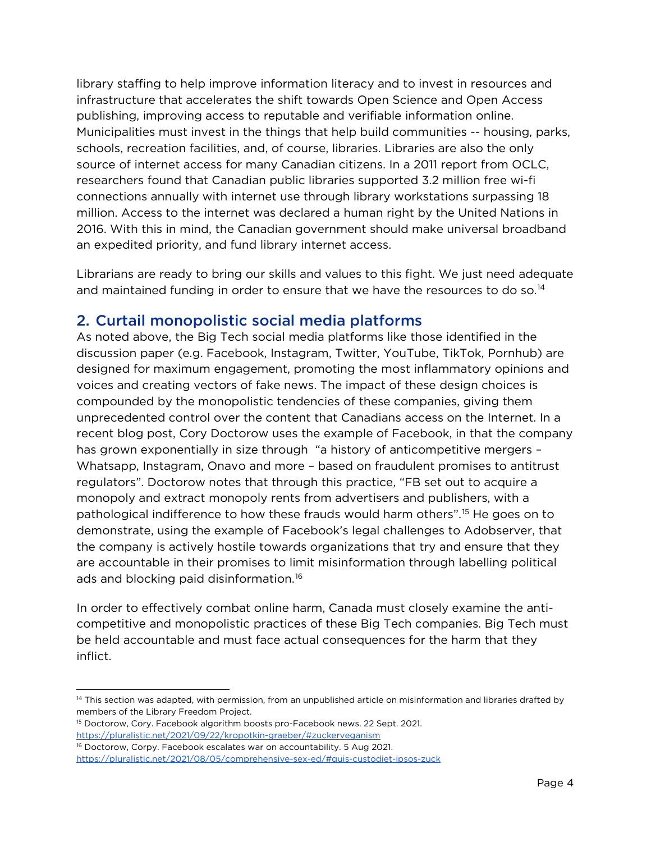library staffing to help improve information literacy and to invest in resources and infrastructure that accelerates the shift towards Open Science and Open Access publishing, improving access to reputable and verifiable information online. Municipalities must invest in the things that help build communities -- housing, parks, schools, recreation facilities, and, of course, libraries. Libraries are also the only source of internet access for many Canadian citizens. In a 2011 report from OCLC, researchers found that Canadian public libraries supported 3.2 million free wi-fi connections annually with internet use through library workstations surpassing 18 million. Access to the internet was declared a human right by the United Nations in 2016. With this in mind, the Canadian government should make universal broadband an expedited priority, and fund library internet access.

Librarians are ready to bring our skills and values to this fight. We just need adequate and maintained funding in order to ensure that we have the resources to do so.<sup>[14](#page-4-1)</sup>

#### <span id="page-4-0"></span>2. Curtail monopolistic social media platforms

As noted above, the Big Tech social media platforms like those identified in the discussion paper (e.g. Facebook, Instagram, Twitter, YouTube, TikTok, Pornhub) are designed for maximum engagement, promoting the most inflammatory opinions and voices and creating vectors of fake news. The impact of these design choices is compounded by the monopolistic tendencies of these companies, giving them unprecedented control over the content that Canadians access on the Internet. In a recent blog post, Cory Doctorow uses the example of Facebook, in that the company has grown exponentially in size through "a history of anticompetitive mergers – Whatsapp, Instagram, Onavo and more – based on fraudulent promises to antitrust regulators". Doctorow notes that through this practice, "FB set out to acquire a monopoly and extract monopoly rents from advertisers and publishers, with a pathological indifference to how these frauds would harm others".[15](#page-4-2) He goes on to demonstrate, using the example of Facebook's legal challenges to Adobserver, that the company is actively hostile towards organizations that try and ensure that they are accountable in their promises to limit misinformation through labelling political ads and blocking paid disinformation.[16](#page-4-3)

In order to effectively combat online harm, Canada must closely examine the anticompetitive and monopolistic practices of these Big Tech companies. Big Tech must be held accountable and must face actual consequences for the harm that they inflict.

<span id="page-4-1"></span><sup>&</sup>lt;sup>14</sup> This section was adapted, with permission, from an unpublished article on misinformation and libraries drafted by members of the Library Freedom Project.

<span id="page-4-2"></span><sup>&</sup>lt;sup>15</sup> Doctorow, Cory. Facebook algorithm boosts pro-Facebook news. 22 Sept. 2021. <https://pluralistic.net/2021/09/22/kropotkin-graeber/#zuckerveganism>

<span id="page-4-3"></span><sup>&</sup>lt;sup>16</sup> Doctorow, Corpy. Facebook escalates war on accountability. 5 Aug 2021. <https://pluralistic.net/2021/08/05/comprehensive-sex-ed/#quis-custodiet-ipsos-zuck>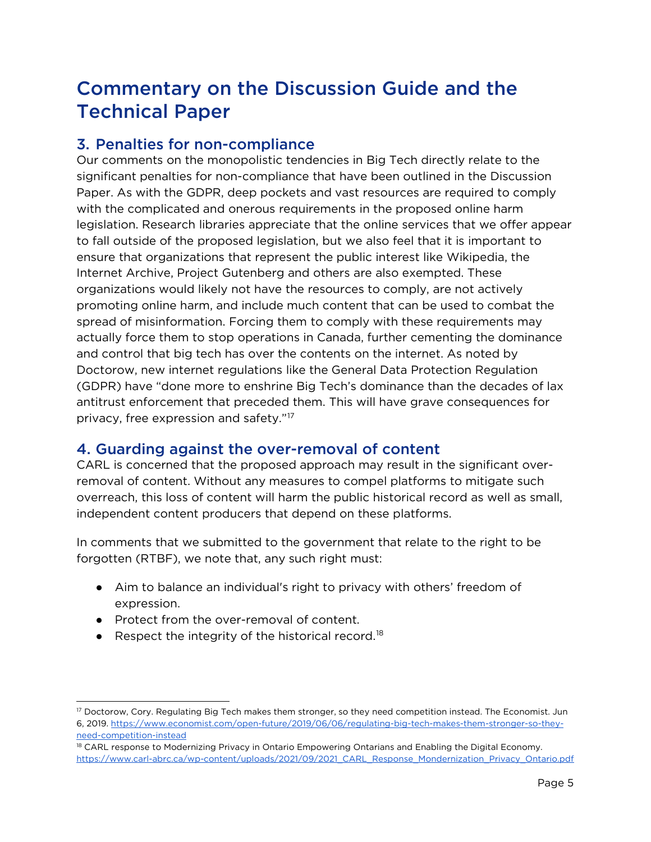### <span id="page-5-0"></span>Commentary on the Discussion Guide and the Technical Paper

#### <span id="page-5-1"></span>3. Penalties for non-compliance

Our comments on the monopolistic tendencies in Big Tech directly relate to the significant penalties for non-compliance that have been outlined in the Discussion Paper. As with the GDPR, deep pockets and vast resources are required to comply with the complicated and onerous requirements in the proposed online harm legislation. Research libraries appreciate that the online services that we offer appear to fall outside of the proposed legislation, but we also feel that it is important to ensure that organizations that represent the public interest like Wikipedia, the Internet Archive, Project Gutenberg and others are also exempted. These organizations would likely not have the resources to comply, are not actively promoting online harm, and include much content that can be used to combat the spread of misinformation. Forcing them to comply with these requirements may actually force them to stop operations in Canada, further cementing the dominance and control that big tech has over the contents on the internet. As noted by Doctorow, new internet regulations like the General Data Protection Regulation (GDPR) have "done more to enshrine Big Tech's dominance than the decades of lax antitrust enforcement that preceded them. This will have grave consequences for privacy, free expression and safety."[17](#page-5-3)

#### <span id="page-5-2"></span>4. Guarding against the over-removal of content

CARL is concerned that the proposed approach may result in the significant overremoval of content. Without any measures to compel platforms to mitigate such overreach, this loss of content will harm the public historical record as well as small, independent content producers that depend on these platforms.

In comments that we submitted to the government that relate to the right to be forgotten (RTBF), we note that, any such right must:

- Aim to balance an individual's right to privacy with others' freedom of expression.
- Protect from the over-removal of content.
- Respect the integrity of the historical record.<sup>[18](#page-5-4)</sup>

<span id="page-5-3"></span><sup>17</sup> Doctorow, Cory. Regulating Big Tech makes them stronger, so they need competition instead. The Economist. Jun 6, 2019. [https://www.economist.com/open-future/2019/06/06/regulating-big-tech-makes-them-stronger-so-they](https://www.economist.com/open-future/2019/06/06/regulating-big-tech-makes-them-stronger-so-they-need-competition-instead)[need-competition-instead](https://www.economist.com/open-future/2019/06/06/regulating-big-tech-makes-them-stronger-so-they-need-competition-instead)

<span id="page-5-4"></span><sup>&</sup>lt;sup>18</sup> CARL response to Modernizing Privacy in Ontario Empowering Ontarians and Enabling the Digital Economy. [https://www.carl-abrc.ca/wp-content/uploads/2021/09/2021\\_CARL\\_Response\\_Mondernization\\_Privacy\\_Ontario.pdf](https://www.carl-abrc.ca/wp-content/uploads/2021/09/2021_CARL_Response_Mondernization_Privacy_Ontario.pdf)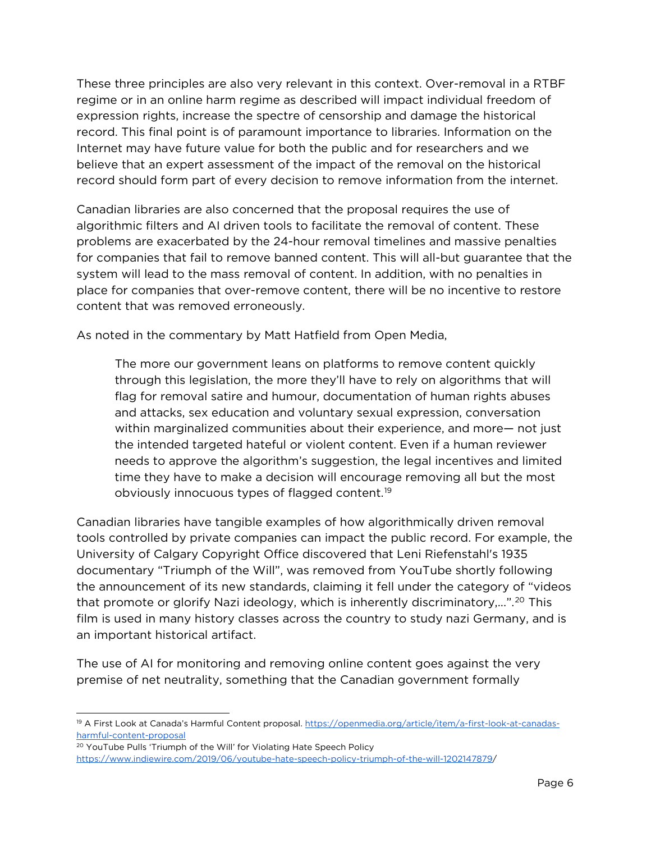These three principles are also very relevant in this context. Over-removal in a RTBF regime or in an online harm regime as described will impact individual freedom of expression rights, increase the spectre of censorship and damage the historical record. This final point is of paramount importance to libraries. Information on the Internet may have future value for both the public and for researchers and we believe that an expert assessment of the impact of the removal on the historical record should form part of every decision to remove information from the internet.

Canadian libraries are also concerned that the proposal requires the use of algorithmic filters and AI driven tools to facilitate the removal of content. These problems are exacerbated by the 24-hour removal timelines and massive penalties for companies that fail to remove banned content. This will all-but guarantee that the system will lead to the mass removal of content. In addition, with no penalties in place for companies that over-remove content, there will be no incentive to restore content that was removed erroneously.

As noted in the commentary by Matt Hatfield from Open Media,

The more our government leans on platforms to remove content quickly through this legislation, the more they'll have to rely on algorithms that will flag for removal satire and humour, documentation of human rights abuses and attacks, sex education and voluntary sexual expression, conversation within marginalized communities about their experience, and more— not just the intended targeted hateful or violent content. Even if a human reviewer needs to approve the algorithm's suggestion, the legal incentives and limited time they have to make a decision will encourage removing all but the most obviously innocuous types of flagged content.<sup>[19](#page-6-0)</sup>

Canadian libraries have tangible examples of how algorithmically driven removal tools controlled by private companies can impact the public record. For example, the University of Calgary Copyright Office discovered that Leni Riefenstahl's 1935 documentary "Triumph of the Will", was removed from YouTube shortly following the announcement of its new standards, claiming it fell under the category of "videos that promote or glorify Nazi ideology, which is inherently discriminatory,...".<sup>[20](#page-6-1)</sup> This film is used in many history classes across the country to study nazi Germany, and is an important historical artifact.

The use of AI for monitoring and removing online content goes against the very premise of net neutrality, something that the Canadian government formally

<span id="page-6-0"></span><sup>&</sup>lt;sup>19</sup> A First Look at Canada's Harmful Content proposal. [https://openmedia.org/article/item/a-first-look-at-canadas](https://openmedia.org/article/item/a-first-look-at-canadas-harmful-content-proposal)[harmful-content-proposal](https://openmedia.org/article/item/a-first-look-at-canadas-harmful-content-proposal)

<span id="page-6-1"></span><sup>&</sup>lt;sup>20</sup> YouTube Pulls 'Triumph of the Will' for Violating Hate Speech Policy <https://www.indiewire.com/2019/06/youtube-hate-speech-policy-triumph-of-the-will-1202147879/>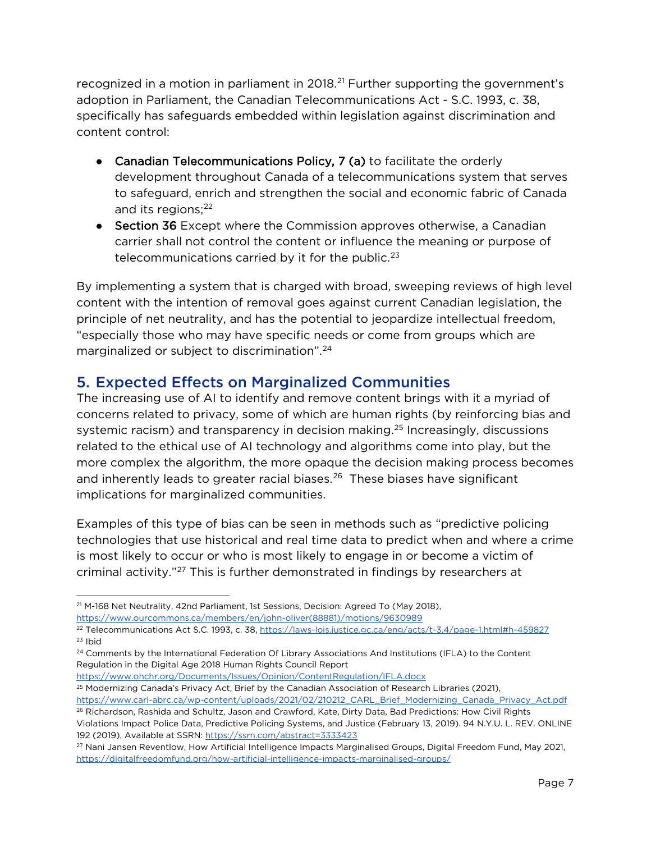recognized in a motion in parliament in 2018.<sup>[21](#page-7-1)</sup> Further supporting the government's adoption in Parliament, the Canadian Telecommunications Act - S.C. 1993, c. 38, specifically has safeguards embedded within legislation against discrimination and content control:

- Canadian Telecommunications Policy, 7 (a) to facilitate the orderly development throughout Canada of a telecommunications system that serves to safeguard, enrich and strengthen the social and economic fabric of Canada and its regions; $22$
- Section 36 Except where the Commission approves otherwise, a Canadian carrier shall not control the content or influence the meaning or purpose of telecommunications carried by it for the public. $23$

By implementing a system that is charged with broad, sweeping reviews of high level content with the intention of removal goes against current Canadian legislation, the principle of net neutrality, and has the potential to jeopardize intellectual freedom, "especially those who may have specific needs or come from groups which are marginalized or subject to discrimination"[.24](#page-7-4)

#### <span id="page-7-0"></span>5. Expected Effects on Marginalized Communities

The increasing use of AI to identify and remove content brings with it a myriad of concerns related to privacy, some of which are human rights (by reinforcing bias and systemic racism) and transparency in decision making.<sup>[25](#page-7-5)</sup> Increasingly, discussions related to the ethical use of AI technology and algorithms come into play, but the more complex the algorithm, the more opaque the decision making process becomes and inherently leads to greater racial biases. $26$  These biases have significant implications for marginalized communities.

Examples of this type of bias can be seen in methods such as "predictive policing technologies that use historical and real time data to predict when and where a crime is most likely to occur or who is most likely to engage in or become a victim of criminal activity."[27](#page-7-7) This is further demonstrated in findings by researchers at

[https://www.ourcommons.ca/members/en/john-oliver\(88881\)/motions/9630989](https://www.ourcommons.ca/members/en/john-oliver(88881)/motions/9630989) 

<https://www.ohchr.org/Documents/Issues/Opinion/ContentRegulation/IFLA.docx>

<span id="page-7-1"></span><sup>21</sup> M-168 Net Neutrality, 42nd Parliament, 1st Sessions, Decision: Agreed To (May 2018),

<span id="page-7-2"></span><sup>22</sup> Telecommunications Act S.C. 1993, c. 38[, https://laws-lois.justice.gc.ca/eng/acts/t-3.4/page-1.html#h-459827](https://laws-lois.justice.gc.ca/eng/acts/t-3.4/page-1.html#h-459827)  $23$  Ihid

<span id="page-7-4"></span><span id="page-7-3"></span><sup>&</sup>lt;sup>24</sup> Comments by the International Federation Of Library Associations And Institutions (IFLA) to the Content Regulation in the Digital Age 2018 Human Rights Council Report

<sup>25</sup> Modernizing Canada's Privacy Act, Brief by the Canadian Association of Research Libraries (2021),

<span id="page-7-6"></span><span id="page-7-5"></span>[https://www.carl-abrc.ca/wp-content/uploads/2021/02/210212\\_CARL\\_Brief\\_Modernizing\\_Canada\\_Privacy\\_Act.pdf](https://www.carl-abrc.ca/wp-content/uploads/2021/02/210212_CARL_Brief_Modernizing_Canada_Privacy_Act.pdf) <sup>26</sup> Richardson, Rashida and Schultz, Jason and Crawford, Kate, Dirty Data, Bad Predictions: How Civil Rights

Violations Impact Police Data, Predictive Policing Systems, and Justice (February 13, 2019). 94 N.Y.U. L. REV. ONLINE 192 (2019), Available at SSRN:<https://ssrn.com/abstract=3333423>

<span id="page-7-7"></span><sup>27</sup> Nani Jansen Reventlow, How Artificial Intelligence Impacts Marginalised Groups, Digital Freedom Fund, May 2021, <https://digitalfreedomfund.org/how-artificial-intelligence-impacts-marginalised-groups/>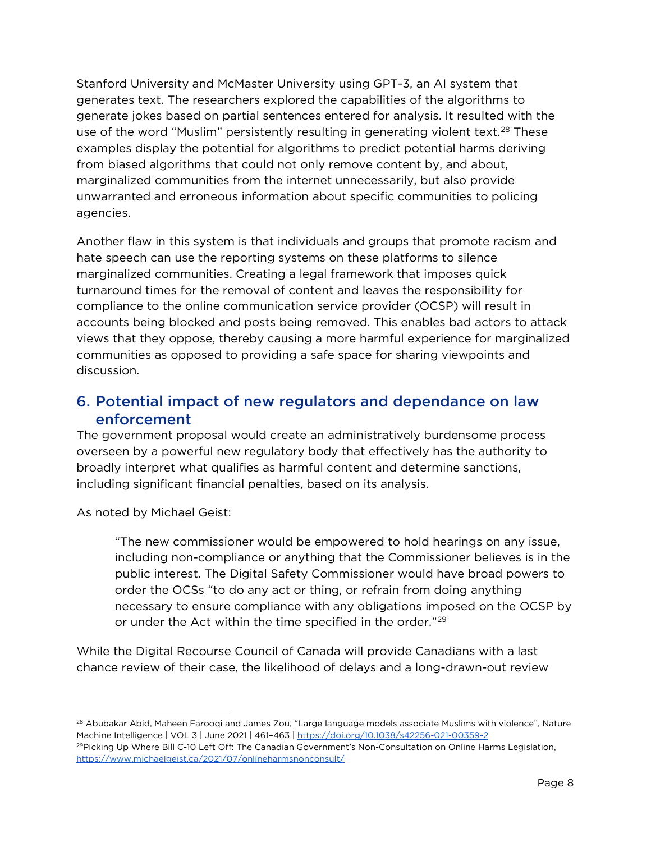Stanford University and McMaster University using GPT-3, an AI system that generates text. The researchers explored the capabilities of the algorithms to generate jokes based on partial sentences entered for analysis. It resulted with the use of the word "Muslim" persistently resulting in generating violent text.<sup>[28](#page-8-1)</sup> These examples display the potential for algorithms to predict potential harms deriving from biased algorithms that could not only remove content by, and about, marginalized communities from the internet unnecessarily, but also provide unwarranted and erroneous information about specific communities to policing agencies.

Another flaw in this system is that individuals and groups that promote racism and hate speech can use the reporting systems on these platforms to silence marginalized communities. Creating a legal framework that imposes quick turnaround times for the removal of content and leaves the responsibility for compliance to the online communication service provider (OCSP) will result in accounts being blocked and posts being removed. This enables bad actors to attack views that they oppose, thereby causing a more harmful experience for marginalized communities as opposed to providing a safe space for sharing viewpoints and discussion.

#### <span id="page-8-0"></span>6. Potential impact of new regulators and dependance on law enforcement

The government proposal would create an administratively burdensome process overseen by a powerful new regulatory body that effectively has the authority to broadly interpret what qualifies as harmful content and determine sanctions, including significant financial penalties, based on its analysis.

As noted by Michael Geist:

"The new commissioner would be empowered to hold hearings on any issue, including non-compliance or anything that the Commissioner believes is in the public interest. The Digital Safety Commissioner would have broad powers to order the OCSs "to do any act or thing, or refrain from doing anything necessary to ensure compliance with any obligations imposed on the OCSP by or under the Act within the time specified in the order."<sup>29</sup>

While the Digital Recourse Council of Canada will provide Canadians with a last chance review of their case, the likelihood of delays and a long-drawn-out review

<span id="page-8-1"></span><sup>&</sup>lt;sup>28</sup> Abubakar Abid, Maheen Farooqi and James Zou, "Large language models associate Muslims with violence", Nature Machine Intelligence | VOL 3 | June 2021 | 461–463 | https://doi.org/10.1038/s42256-021-00359-2

<span id="page-8-2"></span><sup>&</sup>lt;sup>29</sup>Picking Up Where Bill C-10 Left Off: The Canadian Government's Non-Consultation on Online Harms Legislation, <https://www.michaelgeist.ca/2021/07/onlineharmsnonconsult/>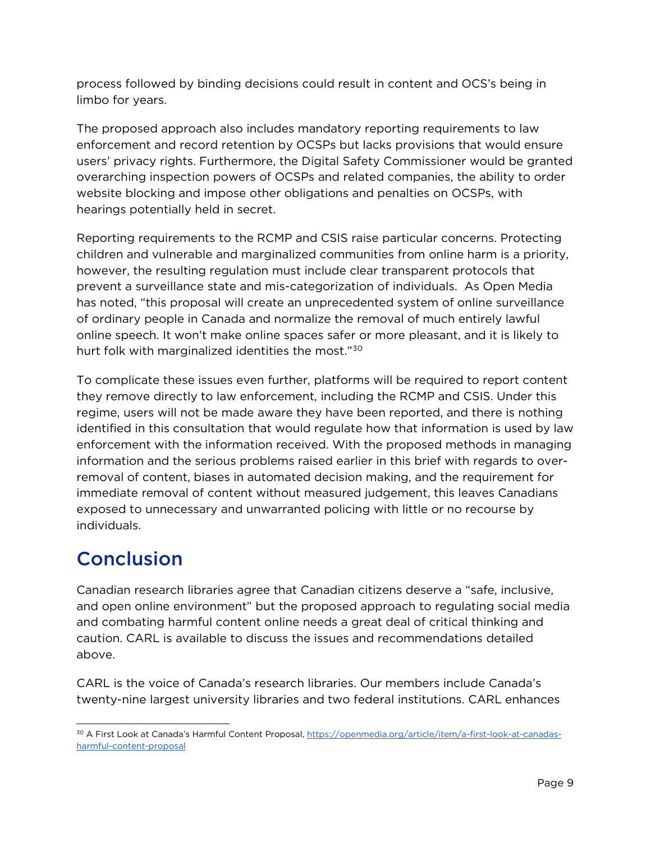process followed by binding decisions could result in content and OCS's being in limbo for years.

The proposed approach also includes mandatory reporting requirements to law enforcement and record retention by OCSPs but lacks provisions that would ensure users' privacy rights. Furthermore, the Digital Safety Commissioner would be granted overarching inspection powers of OCSPs and related companies, the ability to order website blocking and impose other obligations and penalties on OCSPs, with hearings potentially held in secret.

Reporting requirements to the RCMP and CSIS raise particular concerns. Protecting children and vulnerable and marginalized communities from online harm is a priority, however, the resulting regulation must include clear transparent protocols that prevent a surveillance state and mis-categorization of individuals. As Open Media has noted, "this proposal will create an unprecedented system of online surveillance of ordinary people in Canada and normalize the removal of much entirely lawful online speech. It won't make online spaces safer or more pleasant, and it is likely to hurt folk with marginalized identities the most."<sup>[30](#page-9-1)</sup>

To complicate these issues even further, platforms will be required to report content they remove directly to law enforcement, including the RCMP and CSIS. Under this regime, users will not be made aware they have been reported, and there is nothing identified in this consultation that would regulate how that information is used by law enforcement with the information received. With the proposed methods in managing information and the serious problems raised earlier in this brief with regards to overremoval of content, biases in automated decision making, and the requirement for immediate removal of content without measured judgement, this leaves Canadians exposed to unnecessary and unwarranted policing with little or no recourse by individuals.

## <span id="page-9-0"></span>Conclusion

Canadian research libraries agree that Canadian citizens deserve a "safe, inclusive, and open online environment" but the proposed approach to regulating social media and combating harmful content online needs a great deal of critical thinking and caution. CARL is available to discuss the issues and recommendations detailed above.

CARL is the voice of Canada's research libraries. Our members include Canada's twenty-nine largest university libraries and two federal institutions. CARL enhances

<span id="page-9-1"></span><sup>30</sup> A First Look at Canada's Harmful Content Proposal[, https://openmedia.org/article/item/a-first-look-at-canadas](https://openmedia.org/article/item/a-first-look-at-canadas-harmful-content-proposal)[harmful-content-proposal](https://openmedia.org/article/item/a-first-look-at-canadas-harmful-content-proposal)